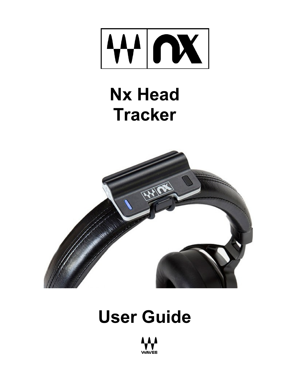

# **Nx Head Tracker**



# **User Guide**

**NAVES**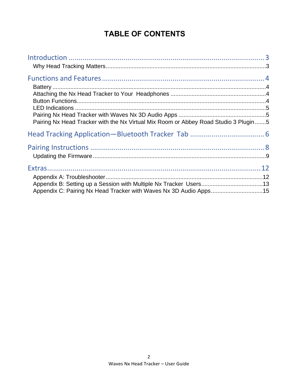## **TABLE OF CONTENTS**

| Pairing Nx Head Tracker with the Nx Virtual Mix Room or Abbey Road Studio 3 Plugin5 |  |
|-------------------------------------------------------------------------------------|--|
|                                                                                     |  |
|                                                                                     |  |
|                                                                                     |  |
|                                                                                     |  |
|                                                                                     |  |
|                                                                                     |  |
| Appendix C: Pairing Nx Head Tracker with Waves Nx 3D Audio Apps15                   |  |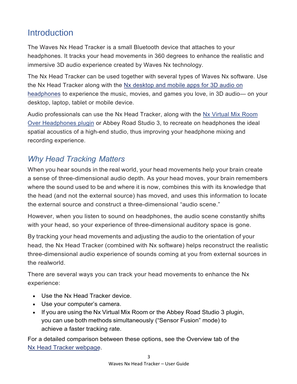# <span id="page-2-0"></span>**Introduction**

The Waves Nx Head Tracker is a small Bluetooth device that attaches to your headphones. It tracks your head movements in 360 degrees to enhance the realistic and immersive 3D audio experience created by Waves Nx technology.

The Nx Head Tracker can be used together with several types of Waves Nx software. Use the Nx Head Tracker along with the [Nx desktop and mobile apps for 3D audio](https://www.waves.com/nx) on [headphones](https://www.waves.com/nx) to experience the music, movies, and games you love, in 3D audio— on your desktop, laptop, tablet or mobile device.

Audio professionals can use the Nx Head Tracker, along with the Nx Virtual Mix Room [Over Headphones plugin](https://www.waves.com/plugins/nx#introducing-nx-virtual-mix-room) or Abbey Road Studio 3, to recreate on headphones the ideal spatial acoustics of a high-end studio, thus improving your headphone mixing and recording experience.

## *Why Head Tracking Matters*

When you hear sounds in the real world, your head movements help your brain create a sense of three-dimensional audio depth. As your head moves, your brain remembers where the sound used to be and where it is now, combines this with its knowledge that the head (and not the external source) has moved, and uses this information to locate the external source and construct a three-dimensional "audio scene."

However, when you listen to sound on headphones, the audio scene constantly shifts with your head, so your experience of three-dimensional auditory space is gone.

By tracking your head movements and adjusting the audio to the orientation of your head, the Nx Head Tracker (combined with Nx software) helps reconstruct the realistic three-dimensional audio experience of sounds coming at you from external sources in the realworld.

There are several ways you can track your head movements to enhance the Nx experience:

- Use the Nx Head Tracker device.
- Use your computer's camera.
- If you are using the Nx Virtual Mix Room or the Abbey Road Studio 3 plugin, you can use both methods simultaneously ("Sensor Fusion" mode) to achieve a faster tracking rate.

For a detailed comparison between these options, see the Overview tab of the [Nx](https://www.waves.com/hardware/nx-head-tracker) Head [Tracker](https://www.waves.com/hardware/nx-head-tracker) webpage.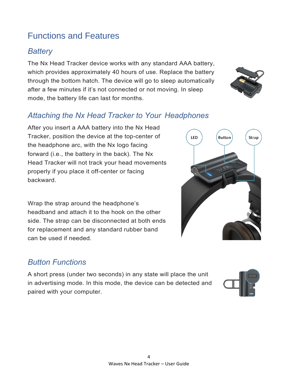# <span id="page-3-0"></span>Functions and Features

#### *Battery*

The Nx Head Tracker device works with any standard AAA battery, which provides approximately 40 hours of use. Replace the battery through the bottom hatch. The device will go to sleep automatically after a few minutes if it's not connected or not moving. In sleep mode, the battery life can last for months.



#### *Attaching the Nx Head Tracker to Your Headphones*

After you insert a AAA battery into the Nx Head Tracker, position the device at the top-center of the headphone arc, with the Nx logo facing forward (i.e., the battery in the back). The Nx Head Tracker will not track your head movements properly if you place it off-center or facing backward.

Wrap the strap around the headphone's headband and attach it to the hook on the other side. The strap can be disconnected at both ends for replacement and any standard rubber band can be used if needed.

# *Button Functions*

A short press (under two seconds) in any state will place the unit in advertising mode. In this mode, the device can be detected and paired with your computer.



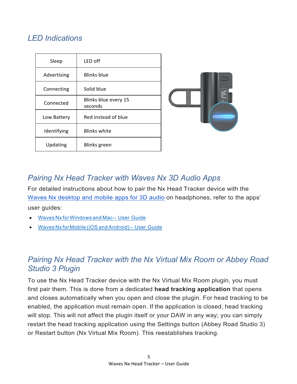## <span id="page-4-0"></span>*LED Indications*

| Sleep       | LED off                         |
|-------------|---------------------------------|
| Advertising | Blinks blue                     |
| Connecting  | Solid blue                      |
| Connected   | Blinks blue every 15<br>seconds |
| Low Battery | Red instead of blue             |
| Identifying | <b>Blinks white</b>             |
| Updating    | <b>Blinks</b> green             |



#### *Pairing Nx Head Tracker with Waves Nx 3D Audio Apps*

For detailed instructions about how to pair the Nx Head Tracker device with the Waves Nx [desktop](https://www.waves.com/nx) and mobile apps for 3D audio on headphones, refer to the apps' user guides:

- Waves Nx [forWindows](https://www.waves.com/support/how-do-i-pair-nx-head-tracker-with-computer) and Mac User Guide
- Waves Nx forMobile (iOS and [Android\)– User](https://www.waves.com/support/how-do-i-pair-nx-head-tracker-with-mobile) Guide

### *Pairing Nx Head Tracker with the Nx Virtual Mix Room or Abbey Road Studio 3 Plugin*

To use the Nx Head Tracker device with the Nx Virtual Mix Room plugin, you must first pair them. This is done from a dedicated **head tracking application** that opens and closes automatically when you open and close the plugin. For head tracking to be enabled, the application must remain open. If the application is closed, head tracking will stop. This will not affect the plugin itself or your DAW in any way; you can simply restart the head tracking application using the Settings button (Abbey Road Studio 3) or Restart button (Nx Virtual Mix Room). This reestablishes tracking.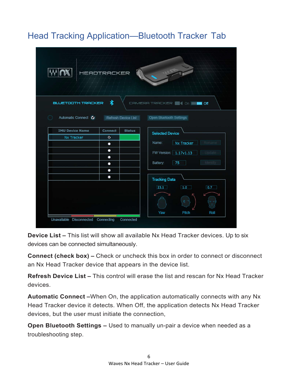# <span id="page-5-0"></span>Head Tracking Application—Bluetooth Tracker Tab

| <b>HEADTRACKER</b><br>$\mathcal{A} \rightarrow \mathcal{A}$<br>者<br><b>BLUETOOTH TRACKER</b><br>CAMERA TRACKER <b>6 4 On 18 101</b> |           |                               |  |  |
|-------------------------------------------------------------------------------------------------------------------------------------|-----------|-------------------------------|--|--|
|                                                                                                                                     |           |                               |  |  |
| Nx Tracker                                                                                                                          | $\bullet$ | <b>Selected Device</b>        |  |  |
|                                                                                                                                     | ٠         | Nx Tracker<br>Name:<br>Rename |  |  |
|                                                                                                                                     | ٠<br>۰    | FW Version: 1.17v1.13         |  |  |
|                                                                                                                                     | ٠         | 75<br>Identify<br>Battery:    |  |  |
|                                                                                                                                     | ٠         | <b>Tracking Data</b>          |  |  |
|                                                                                                                                     |           | 23.1<br>1.0<br>0.7            |  |  |
|                                                                                                                                     |           | Roll                          |  |  |
| Unavailable Disconnected Connecting                                                                                                 | Connected | Yaw<br>Pitch                  |  |  |

**Device List –** This list will show all available Nx Head Tracker devices. Up to six devices can be connected simultaneously.

**Connect (check box) –** Check or uncheck this box in order to connect or disconnect an Nx Head Tracker device that appears in the device list.

**Refresh Device List –** This control will erase the list and rescan for Nx Head Tracker devices.

**Automatic Connect –**When On, the application automatically connects with any Nx Head Tracker device it detects. When Off, the application detects Nx Head Tracker devices, but the user must initiate the connection,

**Open Bluetooth Settings –** Used to manually un-pair a device when needed as a troubleshooting step.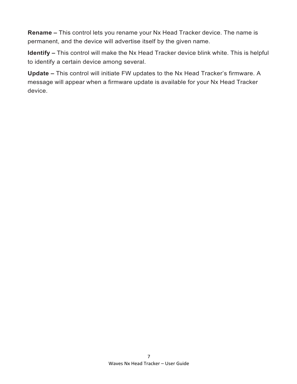**Rename –** This control lets you rename your Nx Head Tracker device. The name is permanent, and the device will advertise itself by the given name.

**Identify –** This control will make the Nx Head Tracker device blink white. This is helpful to identify a certain device among several.

**Update –** This control will initiate FW updates to the Nx Head Tracker's firmware. A message will appear when a firmware update is available for your Nx Head Tracker device.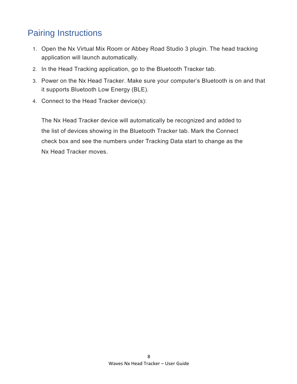# <span id="page-7-0"></span>Pairing Instructions

- 1. Open the Nx Virtual Mix Room or Abbey Road Studio 3 plugin. The head tracking application will launch automatically.
- 2. In the Head Tracking application, go to the Bluetooth Tracker tab.
- 3. Power on the Nx Head Tracker. Make sure your computer's Bluetooth is on and that it supports Bluetooth Low Energy (BLE).
- 4. Connect to the Head Tracker device(s):

The Nx Head Tracker device will automatically be recognized and added to the list of devices showing in the Bluetooth Tracker tab. Mark the Connect check box and see the numbers under Tracking Data start to change as the Nx Head Tracker moves.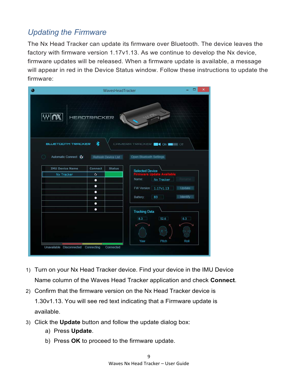## <span id="page-8-0"></span>*Updating the Firmware*

The Nx Head Tracker can update its firmware over Bluetooth. The device leaves the factory with firmware version 1.17v1.13. As we continue to develop the Nx device, firmware updates will be released. When a firmware update is available, a message will appear in red in the Device Status window. Follow these instructions to update the firmware:

|                                     | WavesHeadTracker                                                                                                                         | ▭<br>×                                        |  |  |  |  |
|-------------------------------------|------------------------------------------------------------------------------------------------------------------------------------------|-----------------------------------------------|--|--|--|--|
| <b>HEADTRACKER</b>                  |                                                                                                                                          |                                               |  |  |  |  |
| Automatic Connect O                 | ⊀<br><b>BLUETOOTH TRACKER</b><br>CAMERA TRACKER<br>$\blacksquare$<br>$\blacksquare$ of<br>Open Bluetooth Settings<br>Refresh Device List |                                               |  |  |  |  |
| <b>IMU Device Name</b>              | Connect<br><b>Status</b>                                                                                                                 |                                               |  |  |  |  |
| Nx Tracker                          | $\bullet$                                                                                                                                | <b>Selected Device</b>                        |  |  |  |  |
|                                     | ٠                                                                                                                                        | Rename<br>Name:<br>Nx Tracker                 |  |  |  |  |
|                                     | ٠<br>$\bullet$                                                                                                                           | FW Version: 1.17v1.13<br>Update               |  |  |  |  |
|                                     | ٠                                                                                                                                        | Identify<br>83<br>Battery:                    |  |  |  |  |
|                                     | ٠                                                                                                                                        |                                               |  |  |  |  |
|                                     | ٠                                                                                                                                        | <b>Tracking Data</b>                          |  |  |  |  |
|                                     |                                                                                                                                          | 52.6<br>$6.3 -$<br>83<br>Yaw<br>Pitch<br>Roll |  |  |  |  |
| Unavailable Disconnected Connecting | Connected                                                                                                                                |                                               |  |  |  |  |

- 1) Turn on your Nx Head Tracker device. Find your device in the IMU Device Name column of the Waves Head Tracker application and check **Connect**.
- 2) Confirm that the firmware version on the Nx Head Tracker device is 1.30v1.13. You will see red text indicating that a Firmware update is available.
- 3) Click the **Update** button and follow the update dialog box:
	- a) Press **Update**.
	- b) Press **OK** to proceed to the firmware update.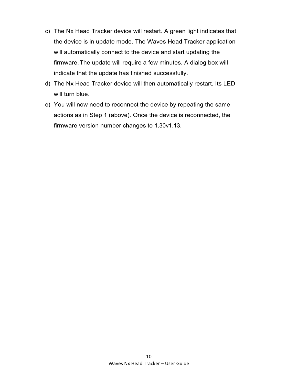- c) The Nx Head Tracker device will restart. A green light indicates that the device is in update mode. The Waves Head Tracker application will automatically connect to the device and start updating the firmware.The update will require a few minutes. A dialog box will indicate that the update has finished successfully.
- d) The Nx Head Tracker device will then automatically restart. Its LED will turn blue.
- e) You will now need to reconnect the device by repeating the same actions as in Step 1 (above). Once the device is reconnected, the firmware version number changes to 1.30v1.13.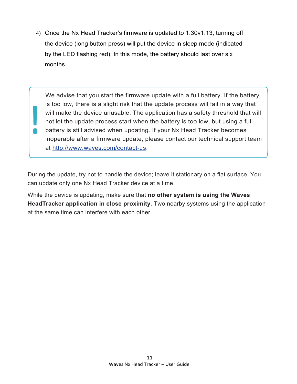4) Once the Nx Head Tracker's firmware is updated to 1.30v1.13, turning off the device (long button press) will put the device in sleep mode (indicated by the LED flashing red). In this mode, the battery should last over six months.

We advise that you start the firmware update with a full battery. If the battery is too low, there is a slight risk that the update process will fail in a way that will make the device unusable. The application has a safety threshold that will not let the update process start when the battery is too low, but using a full battery is still advised when updating. If your Nx Head Tracker becomes inoperable after a firmware update, please contact our technical support team at [http://www.waves.com/contact-us.](https://www.waves.com/contact-us)

During the update, try not to handle the device; leave it stationary on a flat surface. You can update only one Nx Head Tracker device at a time.

While the device is updating, make sure that **no other system is using the Waves HeadTracker application in close proximity**. Two nearby systems using the application at the same time can interfere with each other.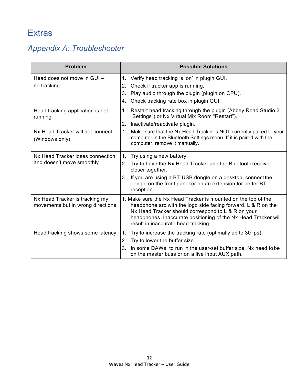# <span id="page-11-0"></span>**Extras**

# *Appendix A: Troubleshooter*

| <b>Problem</b>                                                      | <b>Possible Solutions</b>                                                                                                                                                                                                                                                                     |
|---------------------------------------------------------------------|-----------------------------------------------------------------------------------------------------------------------------------------------------------------------------------------------------------------------------------------------------------------------------------------------|
| Head does not move in GUI-                                          | Verify head tracking is 'on' in plugin GUI.<br>1.                                                                                                                                                                                                                                             |
| no tracking                                                         | Check if tracker app is running.<br>2.                                                                                                                                                                                                                                                        |
|                                                                     | Play audio through the plugin (plugin on CPU).<br>3.                                                                                                                                                                                                                                          |
|                                                                     | Check tracking rate box in plugin GUI.<br>4.                                                                                                                                                                                                                                                  |
| Head tracking application is not<br>running                         | Restart head tracking through the plugin (Abbey Road Studio 3<br>1.<br>"Settings") or Nx Virtual Mix Room "Restart").                                                                                                                                                                         |
|                                                                     | 2.<br>Inactivate/reactivate plugin.                                                                                                                                                                                                                                                           |
| Nx Head Tracker will not connect<br>(Windows only)                  | Make sure that the Nx Head Tracker is NOT currently paired to your<br>1.<br>computer in the Bluetooth Settings menu. If it is paired with the<br>computer, remove it manually.                                                                                                                |
| Nx Head Tracker loses connection<br>and doesn't move smoothly       | Try using a new battery.<br>1.                                                                                                                                                                                                                                                                |
|                                                                     | Try to have the Nx Head Tracker and the Bluetooth receiver<br>2.<br>closer together.                                                                                                                                                                                                          |
|                                                                     | 3. If you are using a BT-USB dongle on a desktop, connect the<br>dongle on the front panel or on an extension for better BT<br>reception.                                                                                                                                                     |
| Nx Head Tracker is tracking my<br>movements but in wrong directions | 1. Make sure the Nx Head Tracker is mounted on the top of the<br>headphone arc with the logo side facing forward. L & R on the<br>Nx Head Tracker should correspond to L & R on your<br>headphones. Inaccurate positioning of the Nx Head Tracker will<br>result in inaccurate head tracking. |
| Head tracking shows some latency                                    | Try to increase the tracking rate (optimally up to 30 fps).<br>1.                                                                                                                                                                                                                             |
|                                                                     | Try to lower the buffer size.<br>2.                                                                                                                                                                                                                                                           |
|                                                                     | In some DAWs, to run in the user-set buffer size, Nx need to be<br>3.<br>on the master buss or on a live input AUX path.                                                                                                                                                                      |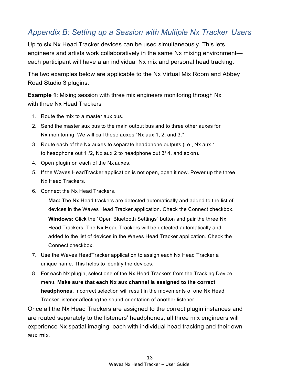#### <span id="page-12-0"></span>*Appendix B: Setting up a Session with Multiple Nx Tracker Users*

Up to six Nx Head Tracker devices can be used simultaneously. This lets engineers and artists work collaboratively in the same Nx mixing environment each participant will have a an individual Nx mix and personal head tracking.

The two examples below are applicable to the Nx Virtual Mix Room and Abbey Road Studio 3 plugins.

**Example 1**: Mixing session with three mix engineers monitoring through Nx with three Nx Head Trackers

- 1. Route the mix to a master aux bus.
- 2. Send the master aux bus to the main output bus and to three other auxes for Nx monitoring. We will call these auxes "Nx aux 1, 2, and 3."
- 3. Route each of the Nx auxes to separate headphone outputs (i.e., Nx aux 1 to headphone out 1 /2, Nx aux 2 to headphone out 3/ 4, and so on).
- 4. Open plugin on each of the Nx auxes.
- 5. If the Waves HeadTracker application is not open, open it now. Power up the three Nx Head Trackers.
- 6. Connect the Nx Head Trackers.

**Mac:** The Nx Head trackers are detected automatically and added to the list of devices in the Waves Head Tracker application. Check the Connect checkbox. **Windows:** Click the "Open Bluetooth Settings" button and pair the three Nx Head Trackers. The Nx Head Trackers will be detected automatically and added to the list of devices in the Waves Head Tracker application. Check the Connect checkbox.

- 7. Use the Waves HeadTracker application to assign each Nx Head Tracker a unique name. This helps to identify the devices.
- 8. For each Nx plugin, select one of the Nx Head Trackers from the Tracking Device menu. **Make sure that each Nx aux channel is assigned to the correct headphones.** Incorrect selection will result in the movements of one Nx Head Tracker listener affectingthe sound orientation of another listener.

Once all the Nx Head Trackers are assigned to the correct plugin instances and are routed separately to the listeners' headphones, all three mix engineers will experience Nx spatial imaging: each with individual head tracking and their own aux mix.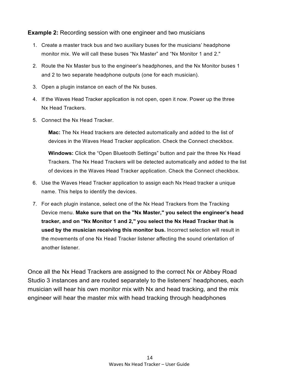**Example 2:** Recording session with one engineer and two musicians

- 1. Create a master track bus and two auxiliary buses for the musicians' headphone monitor mix. We will call these buses "Nx Master" and "Nx Monitor 1 and 2."
- 2. Route the Nx Master bus to the engineer's headphones, and the Nx Monitor buses 1 and 2 to two separate headphone outputs (one for each musician).
- 3. Open a plugin instance on each of the Nx buses.
- 4. If the Waves Head Tracker application is not open, open it now. Power up the three Nx Head Trackers.
- 5. Connect the Nx Head Tracker.

**Mac:** The Nx Head trackers are detected automatically and added to the list of devices in the Waves Head Tracker application. Check the Connect checkbox.

**Windows:** Click the "Open Bluetooth Settings" button and pair the three Nx Head Trackers. The Nx Head Trackers will be detected automatically and added to the list of devices in the Waves Head Tracker application. Check the Connect checkbox.

- 6. Use the Waves Head Tracker application to assign each Nx Head tracker a unique name. This helps to identify the devices.
- 7. For each plugin instance, select one of the Nx Head Trackers from the Tracking Device menu. **Make sure that on the "Nx Master," you select the engineer's head tracker, and on "Nx Monitor 1 and 2," you select the Nx Head Tracker that is used by the musician receiving this monitor bus.** Incorrect selection will result in the movements of one Nx Head Tracker listener affecting the sound orientation of another listener.

Once all the Nx Head Trackers are assigned to the correct Nx or Abbey Road Studio 3 instances and are routed separately to the listeners' headphones, each musician will hear his own monitor mix with Nx and head tracking, and the mix engineer will hear the master mix with head tracking through headphones